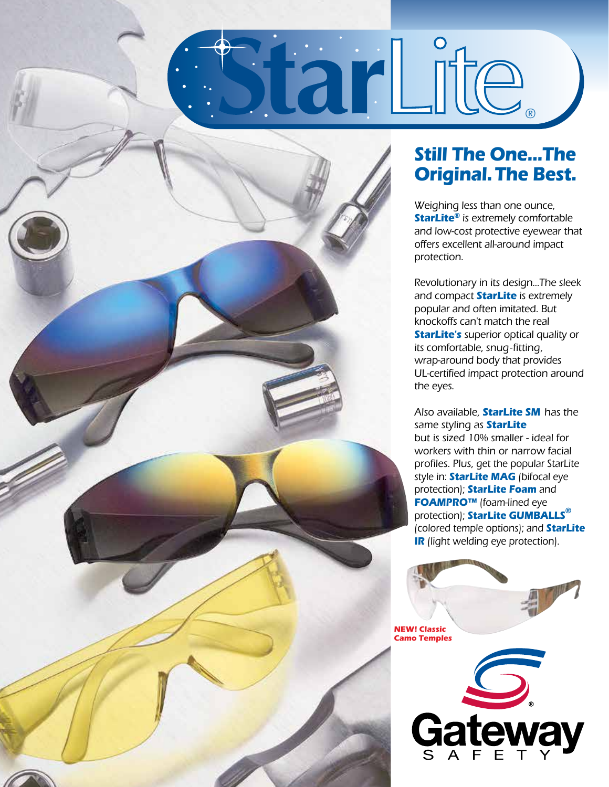

## **Still The One...The Original.The Best.**

®

Weighing less than one ounce, **StarLite®** is extremely comfortable and low-cost protective eyewear that offers excellent all-around impact protection.

Revolutionary in its design...The sleek and compact **StarLite** is extremely popular and often imitated. But knockoffs can't match the real **StarLite's** superior optical quality or its comfortable, snug-fitting, wrap-around body that provides UL-certified impact protection around the eyes.

Also available, **StarLite SM** has the same styling as **StarLite** but is sized 10% smaller - ideal for workers with thin or narrow facial profiles. Plus, get the popular StarLite style in: **StarLite MAG** (bifocal eye protection); **StarLite Foam** and **FOAMPRO™** (foam-lined eye protection); **StarLite GUMBALLS®** (colored temple options); and **StarLite IR** (light welding eye protection).

**NEW! Classic Camo Temples**